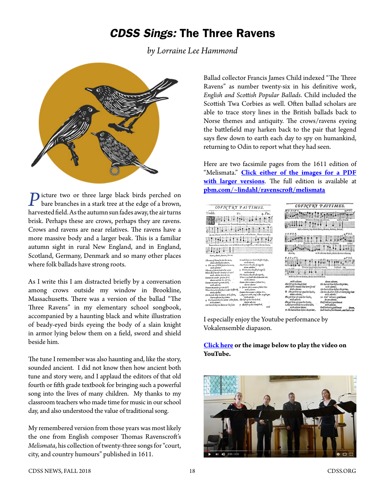## *CDSS Sings:* The Three Ravens

*by Lorraine Lee Hammond*



**P** icture two or three large black birds perched on bare branches in a stark tree at the edge of a brown, harvested field. As the autumn sun fades away, the air turns brisk. Perhaps these are crows, perhaps they are ravens. Crows and ravens are near relatives. The ravens have a more massive body and a larger beak. This is a familiar autumn sight in rural New England, and in England, Scotland, Germany, Denmark and so many other places where folk ballads have strong roots.

As I write this I am distracted briefly by a conversation among crows outside my window in Brookline, Massachusetts. There was a version of the ballad "The Three Ravens" in my elementary school songbook, accompanied by a haunting black and white illustration of beady-eyed birds eyeing the body of a slain knight in armor lying below them on a field, sword and shield beside him.

The tune I remember was also haunting and, like the story, sounded ancient. I did not know then how ancient both tune and story were, and I applaud the editors of that old fourth or fifth grade textbook for bringing such a powerful song into the lives of many children. My thanks to my classroom teachers who made time for music in our school day, and also understood the value of traditional song.

My remembered version from those years was most likely the one from English composer Thomas Ravenscroft's *Melismata*, his collection of twenty-three songs for "court, city, and country humours" published in 1611.

Ballad collector Francis James Child indexed "The Three Ravens" as number twenty-six in his definitive work, *English and Scottish Popular Ballads*. Child included the Scottish Twa Corbies as well. Often ballad scholars are able to trace story lines in the British ballads back to Norse themes and antiquity. The crows/ravens eyeing the battlefield may harken back to the pair that legend says flew down to earth each day to spy on humankind, returning to Odin to report what they had seen.

Here are two facsimile pages from the 1611 edition of "Melismata." **[Click either of the images for a PDF](http://www.cdss.org/images/newsletter_archives/columns/CDSS-Sings-Fall-2018-Country-Pastimes-Three-Ravens.pdf) [with larger versions](http://www.cdss.org/images/newsletter_archives/columns/CDSS-Sings-Fall-2018-Country-Pastimes-Three-Ravens.pdf)**. The full edition is available at **[pbm.com/~lindahl/ravenscroft/melismata](http://www.pbm.com/~lindahl/ravenscroft/melismata/)**

| COVNTRY PASTIMES.                                                                                                                                                                                                                                                                                                                                                                                                                                                                                                                                                                                                                                                        | COVNIRY PASTIMES.                                                                                                                                                                                                                                                                                                                                                                                                                                                                                                                                                                                            |
|--------------------------------------------------------------------------------------------------------------------------------------------------------------------------------------------------------------------------------------------------------------------------------------------------------------------------------------------------------------------------------------------------------------------------------------------------------------------------------------------------------------------------------------------------------------------------------------------------------------------------------------------------------------------------|--------------------------------------------------------------------------------------------------------------------------------------------------------------------------------------------------------------------------------------------------------------------------------------------------------------------------------------------------------------------------------------------------------------------------------------------------------------------------------------------------------------------------------------------------------------------------------------------------------------|
| Treble.<br>$4.$ $Vec.$<br>2.3.<br>Here were three Rauens fat on a tree, Downe a downe, hay down, hay                                                                                                                                                                                                                                                                                                                                                                                                                                                                                                                                                                     |                                                                                                                                                                                                                                                                                                                                                                                                                                                                                                                                                                                                              |
| downe. There were three Rauens fat on a tree, with a downe, There were three<br>թուղասիս <del> գրադասիսի ապա տասինապգուտ</del>                                                                                                                                                                                                                                                                                                                                                                                                                                                                                                                                           | with a domest, here denise denise, determined down                                                                                                                                                                                                                                                                                                                                                                                                                                                                                                                                                           |
| Rauens fat on a tree, they were as blocke as they might be , with a downe derrie,<br>derrie, detrie, downe, downe.                                                                                                                                                                                                                                                                                                                                                                                                                                                                                                                                                       | with a decay desire, desire descriptions                                                                                                                                                                                                                                                                                                                                                                                                                                                                                                                                                                     |
| So well they can their Mafter keepe,<br>The one of them faid to his mate,<br>with adoxne.<br>down adoxine hey downe,<br>Hu Howees they fire fo eagerly<br>2 The one of them faid to his mote,<br>down: adoptee.<br>with advone:<br>5 His Hankes they flie (o eagerly<br>The one of them (sid to his mate<br>with adowne.<br>Where first we our breakefull take?<br>His Haukes they fire fo eagerly,<br>with edoune dery downe.<br>There's no fowle dire him esme nie.<br>Downe in youder greene field,                                                                                                                                                                   | Disemble one control of the control<br>with the Brook Braun, durin downs Brank                                                                                                                                                                                                                                                                                                                                                                                                                                                                                                                               |
| with a downe.<br>downe adowne her downe,<br>Down: there comes a fallow Dor,<br>Downe in youder greene field,<br>downe adowne.<br>with adoxne.<br>6 Downe there comes a fallow Doe<br>Downe in youder greene field<br>with a downe.<br>There lies a Knight flum under his fhield,<br>Downe there comes a fallow Dx.<br>with a downe.<br>As great with youg as for might get.<br>His hounds they lie downe at his feete,<br>with advant.<br>downe adowne hey downe.<br>She lift up his blowly hed,<br>A His hounds they lie downe at his fecte,<br>downe adoxue.<br>with adowns.<br>7 She lift up his bloudy hed,<br>Hie hounds they lee downe at his feets<br><i>aito</i> | width a disease<br><b>Gener subscribe</b><br>إنساء المعاشدة وبالروائدة ملاد<br>the beautiful and informational<br>distribution means inter sever front<br>with adverse.<br>with a disease.<br>Also during this define also police,<br>Fight particle agreement in Junks,<br>the na dealths follows now pay that<br>dww.sbox.<br>mills administ<br>the gettine op open for facts.<br>to Gol. Alexey patients<br>with adviser.<br>durantees.<br>Ale pë lite spojua dor Luiz<br>Call in the way and some to<br>a stad armied line recompany lake.<br>at 16 paperws<br>with advent doesn.<br>Collindown portonut |

I especially enjoy the Youtube performance by Vokalensemble diapason.

**[Click here](https://www.youtube.com/watch?v=mwlplK_o3O0) or the image below to play the video on YouTube.** 

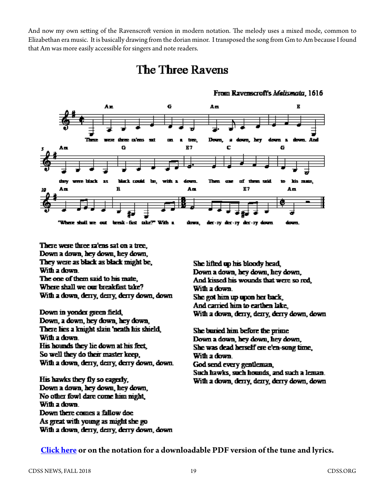And now my own setting of the Ravenscroft version in modern notation. The melody uses a mixed mode, common to Elizabethan era music. It is basically drawing from the dorian minor. I transposed the song from Gm to Am because I found t[hat Am was more easily accessible for singers and note readers.](http://www.cdss.org/images/newsletter_archives/columns/CDSS-Sings-Fall-2018-Three-Ravens-Am-dorian.pdf)

## **The Three Ravens**



From Ravenscroft's Malismata, 1616

There were three ra'ens sat on a tree. Down a down, hey down, hey down, They were as black as black might be, With a down. The one of them said to his mate. Where shall we our breakfast take? With a down, derry, derry, derry down, down

Down in yonder green field, Down, a down, hey down, hey down, There lies a knight slain 'neath his shield, With a down. His hounds they lie down at his feet. So well they do their master keep, With a down, derry, derry, derry down, down.

His hawks they fly so eagerly, Down a down, hey down, hey down, No other fowl dare come him night, With a down. Down there comes a fallow doe. As great with young as might she go With a down, derry, derry, derry down, down

She lifted up his bloody head. Down a down, hey down, hey down, And kissed his wounds that were so red With a down. She got him up upon her back And carried him to earthen lake, With a down, derry, derry, derry down, down

She buried him before the prime Down a down, hey down, hey down, She was dead herself ere e'en-song time, With a down. God send every gentleman, Such hawks, such hounds, and such a leman. With a down, derry, derry, derry down, down

**[Click here](http://www.cdss.org/images/newsletter_archives/columns/CDSS-Sings-Fall-2018-Three-Ravens-Am-dorian.pdf) or on the notation for a downloadable PDF version of the tune and lyrics.**